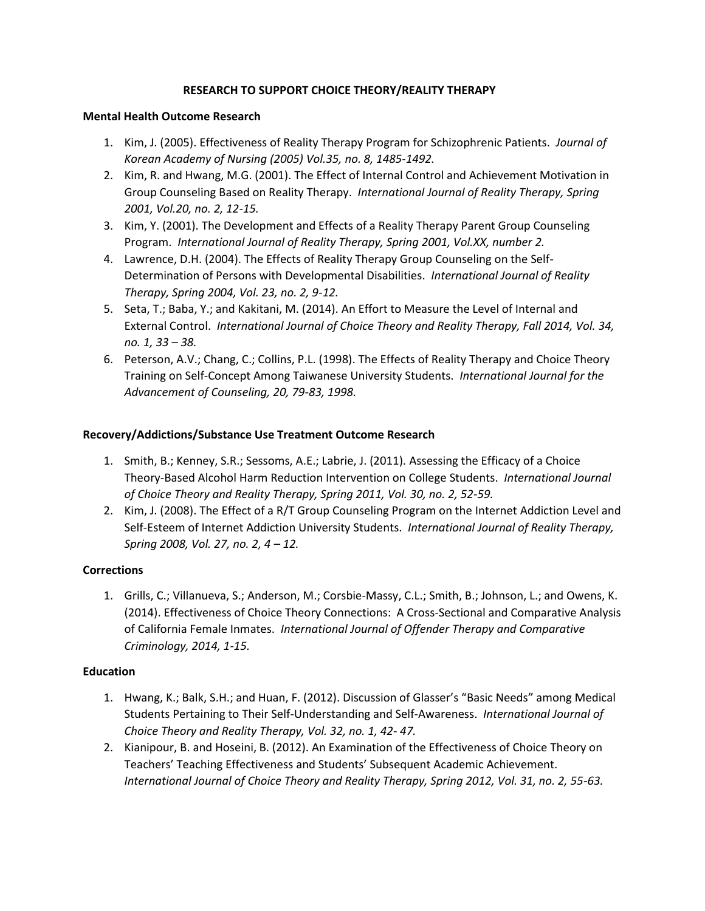# **RESEARCH TO SUPPORT CHOICE THEORY/REALITY THERAPY**

#### **Mental Health Outcome Research**

- 1. Kim, J. (2005). Effectiveness of Reality Therapy Program for Schizophrenic Patients. *Journal of Korean Academy of Nursing (2005) Vol.35, no. 8, 1485-1492.*
- 2. Kim, R. and Hwang, M.G. (2001). The Effect of Internal Control and Achievement Motivation in Group Counseling Based on Reality Therapy. *International Journal of Reality Therapy, Spring 2001, Vol.20, no. 2, 12-15.*
- 3. Kim, Y. (2001). The Development and Effects of a Reality Therapy Parent Group Counseling Program. *International Journal of Reality Therapy, Spring 2001, Vol.XX, number 2.*
- 4. Lawrence, D.H. (2004). The Effects of Reality Therapy Group Counseling on the Self-Determination of Persons with Developmental Disabilities. *International Journal of Reality Therapy, Spring 2004, Vol. 23, no. 2, 9-12.*
- 5. Seta, T.; Baba, Y.; and Kakitani, M. (2014). An Effort to Measure the Level of Internal and External Control. *International Journal of Choice Theory and Reality Therapy, Fall 2014, Vol. 34, no. 1, 33 – 38.*
- 6. Peterson, A.V.; Chang, C.; Collins, P.L. (1998). The Effects of Reality Therapy and Choice Theory Training on Self-Concept Among Taiwanese University Students. *International Journal for the Advancement of Counseling, 20, 79-83, 1998.*

# **Recovery/Addictions/Substance Use Treatment Outcome Research**

- 1. Smith, B.; Kenney, S.R.; Sessoms, A.E.; Labrie, J. (2011). Assessing the Efficacy of a Choice Theory-Based Alcohol Harm Reduction Intervention on College Students. *International Journal of Choice Theory and Reality Therapy, Spring 2011, Vol. 30, no. 2, 52-59.*
- 2. Kim, J. (2008). The Effect of a R/T Group Counseling Program on the Internet Addiction Level and Self-Esteem of Internet Addiction University Students. *International Journal of Reality Therapy, Spring 2008, Vol. 27, no. 2, 4 – 12.*

### **Corrections**

1. Grills, C.; Villanueva, S.; Anderson, M.; Corsbie-Massy, C.L.; Smith, B.; Johnson, L.; and Owens, K. (2014). Effectiveness of Choice Theory Connections: A Cross-Sectional and Comparative Analysis of California Female Inmates. *International Journal of Offender Therapy and Comparative Criminology, 2014, 1-15.*

### **Education**

- 1. Hwang, K.; Balk, S.H.; and Huan, F. (2012). Discussion of Glasser's "Basic Needs" among Medical Students Pertaining to Their Self-Understanding and Self-Awareness. *International Journal of Choice Theory and Reality Therapy, Vol. 32, no. 1, 42- 47.*
- 2. Kianipour, B. and Hoseini, B. (2012). An Examination of the Effectiveness of Choice Theory on Teachers' Teaching Effectiveness and Students' Subsequent Academic Achievement. *International Journal of Choice Theory and Reality Therapy, Spring 2012, Vol. 31, no. 2, 55-63.*